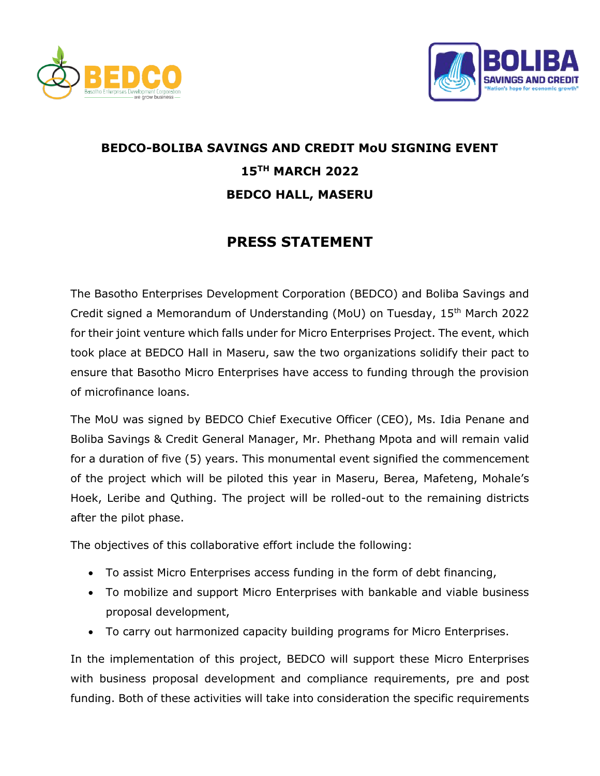



## **BEDCO-BOLIBA SAVINGS AND CREDIT MoU SIGNING EVENT 15TH MARCH 2022 BEDCO HALL, MASERU**

## **PRESS STATEMENT**

The Basotho Enterprises Development Corporation (BEDCO) and Boliba Savings and Credit signed a Memorandum of Understanding (MoU) on Tuesday, 15th March 2022 for their joint venture which falls under for Micro Enterprises Project. The event, which took place at BEDCO Hall in Maseru, saw the two organizations solidify their pact to ensure that Basotho Micro Enterprises have access to funding through the provision of microfinance loans.

The MoU was signed by BEDCO Chief Executive Officer (CEO), Ms. Idia Penane and Boliba Savings & Credit General Manager, Mr. Phethang Mpota and will remain valid for a duration of five (5) years. This monumental event signified the commencement of the project which will be piloted this year in Maseru, Berea, Mafeteng, Mohale's Hoek, Leribe and Quthing. The project will be rolled-out to the remaining districts after the pilot phase.

The objectives of this collaborative effort include the following:

- To assist Micro Enterprises access funding in the form of debt financing,
- To mobilize and support Micro Enterprises with bankable and viable business proposal development,
- To carry out harmonized capacity building programs for Micro Enterprises.

In the implementation of this project, BEDCO will support these Micro Enterprises with business proposal development and compliance requirements, pre and post funding. Both of these activities will take into consideration the specific requirements